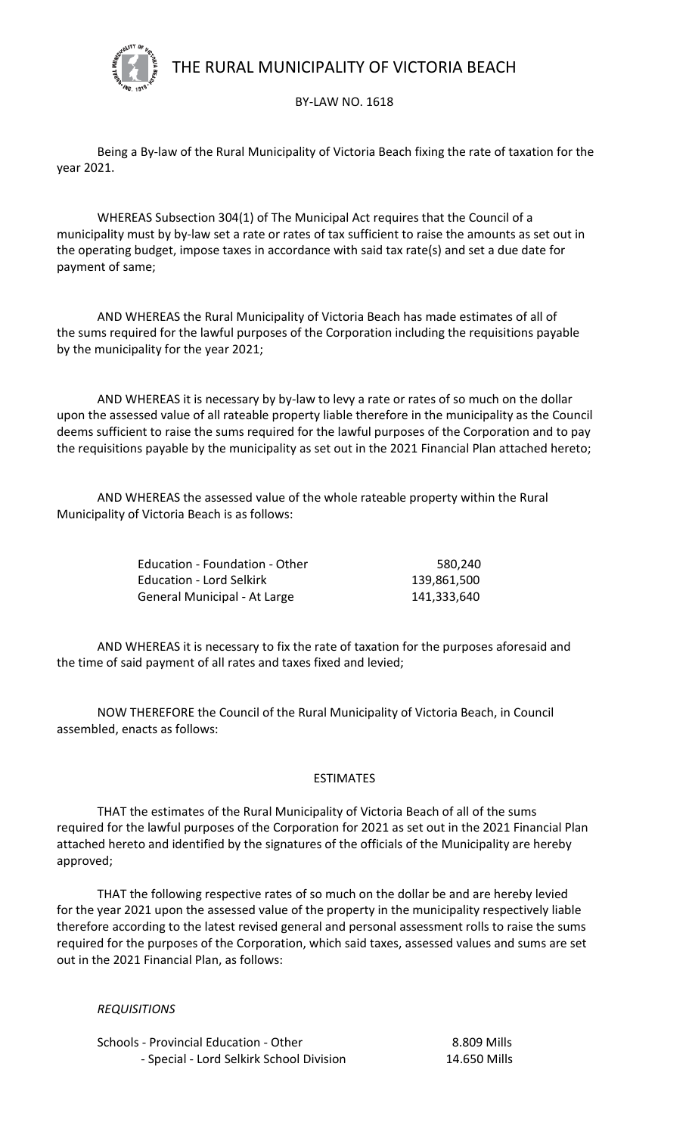

THE RURAL MUNICIPALITY OF VICTORIA BEACH

## BY-LAW NO. 1618

Being a By-law of the Rural Municipality of Victoria Beach fixing the rate of taxation for the year 2021.

WHEREAS Subsection 304(1) of The Municipal Act requires that the Council of a municipality must by by-law set a rate or rates of tax sufficient to raise the amounts as set out in the operating budget, impose taxes in accordance with said tax rate(s) and set a due date for payment of same;

AND WHEREAS the Rural Municipality of Victoria Beach has made estimates of all of the sums required for the lawful purposes of the Corporation including the requisitions payable by the municipality for the year 2021;

AND WHEREAS it is necessary by by-law to levy a rate or rates of so much on the dollar upon the assessed value of all rateable property liable therefore in the municipality as the Council deems sufficient to raise the sums required for the lawful purposes of the Corporation and to pay the requisitions payable by the municipality as set out in the 2021 Financial Plan attached hereto;

AND WHEREAS the assessed value of the whole rateable property within the Rural Municipality of Victoria Beach is as follows:

| <b>Education - Foundation - Other</b> | 580.240     |
|---------------------------------------|-------------|
| <b>Education - Lord Selkirk</b>       | 139,861,500 |
| General Municipal - At Large          | 141,333,640 |

AND WHEREAS it is necessary to fix the rate of taxation for the purposes aforesaid and the time of said payment of all rates and taxes fixed and levied;

 NOW THEREFORE the Council of the Rural Municipality of Victoria Beach, in Council assembled, enacts as follows:

## ESTIMATES

THAT the estimates of the Rural Municipality of Victoria Beach of all of the sums required for the lawful purposes of the Corporation for 2021 as set out in the 2021 Financial Plan attached hereto and identified by the signatures of the officials of the Municipality are hereby approved;

THAT the following respective rates of so much on the dollar be and are hereby levied for the year 2021 upon the assessed value of the property in the municipality respectively liable therefore according to the latest revised general and personal assessment rolls to raise the sums required for the purposes of the Corporation, which said taxes, assessed values and sums are set out in the 2021 Financial Plan, as follows:

*REQUISITIONS*

Schools - Provincial Education - Other 8.809 Mills - Special - Lord Selkirk School Division 14.650 Mills